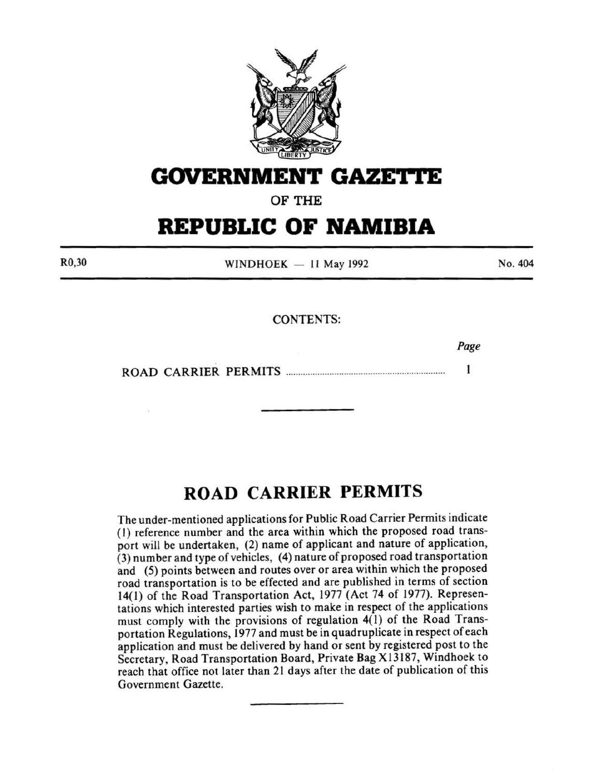

## **GOVERNMENT GAZETTE**

**OF THE** 

# **REPUBLIC OF NAMIBIA**

R0,30

 $WINDHOEK - 11$  May 1992

No. 404

## CONTENTS:

*Page* 

 $\mathbf{1}$ ROAD CARRIER PERMITS ................................................................. .

## **ROAD CARRIER PERMITS**

The under-mentioned applications for Public Road Carrier Permits indicate (I) reference number and the area within which the proposed road transport will be undertaken, (2) name of applicant and nature of application, (3) number and type of vehicles, (4) nature of proposed road transportation and (5) points between and routes over or area within which the proposed road transportation is to be effected and are published in terms of section 14(1) of the Road Transportation Act, 1977 (Act 74 of 1977). Representations which interested parties wish to make in respect of the applications must comply with the provisions of regulation 4(1) of the Road Transportation Regulations, 1977 and must be in quadruplicate in respect of each application and must be delivered by hand or sent by registered post to the Secretary, Road Transportation Board, Private Bag X 13187, Windhoek to reach that office not later than 21 days after the date of publication of this Government Gazette.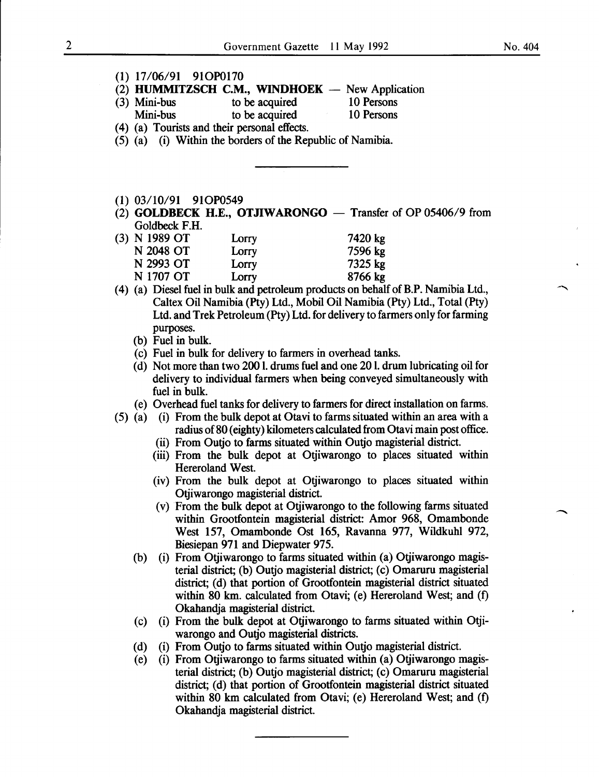$\ddot{\phantom{0}}$ 

| (2) HUMMITZSCH C.M., WINDHOEK - New Application                                                                                                                       |  |
|-----------------------------------------------------------------------------------------------------------------------------------------------------------------------|--|
|                                                                                                                                                                       |  |
| 10 Persons<br>to be acquired<br>$(3)$ Mini-bus                                                                                                                        |  |
| Mini-bus<br>to be acquired 10 Persons                                                                                                                                 |  |
| (4) (a) Tourists and their personal effects.                                                                                                                          |  |
| (5) (a) (i) Within the borders of the Republic of Namibia.                                                                                                            |  |
|                                                                                                                                                                       |  |
|                                                                                                                                                                       |  |
|                                                                                                                                                                       |  |
|                                                                                                                                                                       |  |
| $(1)$ 03/10/91 91OP0549                                                                                                                                               |  |
| (2) GOLDBECK H.E., OTJIWARONGO $-$ Transfer of OP 05406/9 from                                                                                                        |  |
| Goldbeck F.H.                                                                                                                                                         |  |
| (3) N 1989 OT<br>7420 kg<br>Lorry                                                                                                                                     |  |
| N 2048 OT<br>7596 kg<br>Lorry                                                                                                                                         |  |
| N 2993 OT<br>7325 kg<br>Lorry                                                                                                                                         |  |
| N 1707 OT<br>8766 kg<br>Lorry                                                                                                                                         |  |
| (4) (a) Diesel fuel in bulk and petroleum products on behalf of B.P. Namibia Ltd.,                                                                                    |  |
| Caltex Oil Namibia (Pty) Ltd., Mobil Oil Namibia (Pty) Ltd., Total (Pty)                                                                                              |  |
| Ltd. and Trek Petroleum (Pty) Ltd. for delivery to farmers only for farming                                                                                           |  |
| purposes.                                                                                                                                                             |  |
| (b) Fuel in bulk.                                                                                                                                                     |  |
| (c) Fuel in bulk for delivery to farmers in overhead tanks.                                                                                                           |  |
| (d) Not more than two 2001. drums fuel and one 201. drum lubricating oil for                                                                                          |  |
| delivery to individual farmers when being conveyed simultaneously with<br>fuel in bulk.                                                                               |  |
|                                                                                                                                                                       |  |
| (e) Overhead fuel tanks for delivery to farmers for direct installation on farms.<br>(5) (a) (i) From the bulk depot at Otavi to farms situated within an area with a |  |
| radius of 80 (eighty) kilometers calculated from Otavi main post office.                                                                                              |  |
| (ii) From Outjo to farms situated within Outjo magisterial district.                                                                                                  |  |
| (iii) From the bulk depot at Otjiwarongo to places situated within                                                                                                    |  |
| Hereroland West.                                                                                                                                                      |  |
| (iv) From the bulk depot at Otjiwarongo to places situated within                                                                                                     |  |
| Otjiwarongo magisterial district.                                                                                                                                     |  |
| (v) From the bulk depot at Otjiwarongo to the following farms situated                                                                                                |  |
| within Grootfontein magisterial district: Amor 968, Omambonde                                                                                                         |  |
| West 157, Omambonde Ost 165, Ravanna 977, Wildkuhl 972,                                                                                                               |  |
| Biesiepan 971 and Diepwater 975.                                                                                                                                      |  |
| (i) From Otjiwarongo to farms situated within (a) Otjiwarongo magis-<br>(b)                                                                                           |  |
| terial district; (b) Outjo magisterial district; (c) Omaruru magisterial                                                                                              |  |
| district; (d) that portion of Grootfontein magisterial district situated                                                                                              |  |
| within 80 km. calculated from Otavi; (e) Hereroland West; and (f)                                                                                                     |  |
| Okahandja magisterial district.                                                                                                                                       |  |
| (i) From the bulk depot at Otjiwarongo to farms situated within Otji-<br>(c)                                                                                          |  |
| warongo and Outjo magisterial districts.                                                                                                                              |  |
| (i) From Outjo to farms situated within Outjo magisterial district.<br>(d)                                                                                            |  |
|                                                                                                                                                                       |  |
|                                                                                                                                                                       |  |
| (i) From Otjiwarongo to farms situated within (a) Otjiwarongo magis-<br>(e)                                                                                           |  |
| terial district; (b) Outjo magisterial district; (c) Omaruru magisterial<br>district; (d) that portion of Grootfontein magisterial district situated                  |  |

Okahandja magisterial district.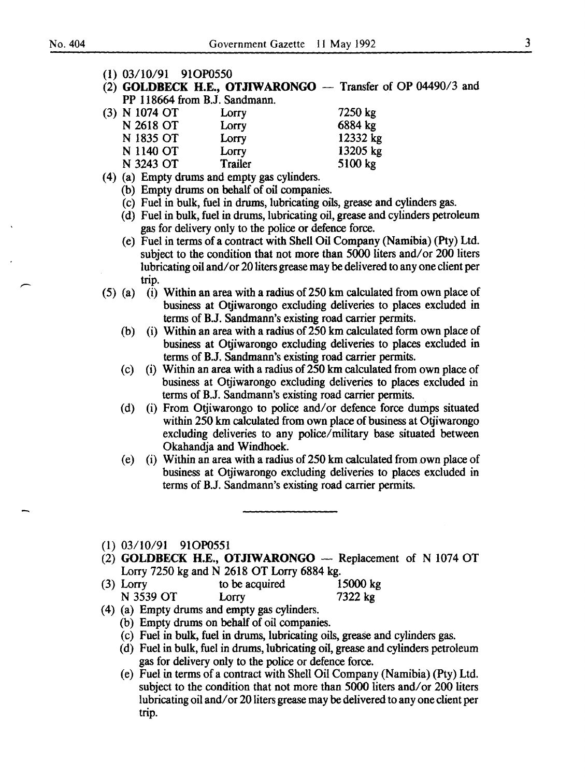- (1) 03/10/91 910P0550
- (2) GOLDBECK H.E., OTJIWARONGO  $-$  Transfer of OP 04490/3 and PP 118664 from B.J. Sandmann.

| Lorry   | 7250 kg  |
|---------|----------|
| Lorry   | 6884 kg  |
| Lorry   | 12332 kg |
| Lorry   | 13205 kg |
| Trailer | 5100 kg  |
|         |          |

- (4) (a) Empty drums and empty gas cylinders.
	- (b) Empty drums on behalf of oil companies.
	- (c) Fuel in bulk, fuel in drums, lubricating oils, grease and cylinders gas.
	- (d) Fuel in bulk, fuel in drums, lubricating oil, grease and cylinders petroleum gas for delivery only to the police or defence force.
	- (e) Fuel in terms of a contract with Shell Oil Company (Namibia) (Pty) Ltd. subject to the condition that not more than 5000 liters and/ or 200 liters lubricating oil and/ or 20 liters grease may be delivered to any one client per trip.
- $(5)$  (a) (i) Within an area with a radius of 250 km calculated from own place of business at Otjiwarongo excluding deliveries to places excluded in terms of B.J. Sandmann's existing road carrier permits.
	- (b) (i) Within an area with a radius of 250 km calculated form own place of business at Otjiwarongo excluding deliveries to places excluded in terms of B.J. Sandmann's existing road carrier permits.
	- (c) (i) Within an area with a radius of250 km calculated from own place of business at Otjiwarongo excluding deliveries to places excluded in terms of B.J. Sandmann's existing road carrier permits.
	- (d) (i) From Otjiwarongo to police and/ or defence force dumps situated within 250 km calculated from own place of business at Otjiwarongo excluding deliveries to any police/military base situated between Okahandja and Windhoek.
	- (e) (i) Within an area with a radius of 250 km calculated from own place of business at Otjiwarongo excluding deliveries to places excluded in terms of B.J. Sandmann's existing road carrier permits.
- (1) 03/10/91 910P0551
- (2) GOLDBECK H.E., OTJIWARONGO  $-$  Replacement of N 1074 OT Lorry 7250 kg and N 2618 OT Lorry 6884 kg.
- (3) Lorry to be acquired 15000 kg N 3539 OT Lorry 7322 kg
- (4) (a) Empty drums and empty gas cylinders.
	- (b) Empty drums on behalf of oil companies.
	- (c) Fuel in bulk, fuel in drums, lubricating oils, grease and cylinders gas.
	- (d) Fuel in bulk, fuel in drums, lubricating oil, grease and cylinders petroleum gas for delivery only to the police or defence force.
	- (e) Fuelin terms of a contract with Shell Oil Company (Namibia) (Pty) Ltd. subject to the condition that not more than 5000 liters and/or 200 liters lubricating oil and/ or 20 liters grease may be delivered to any one client per trip.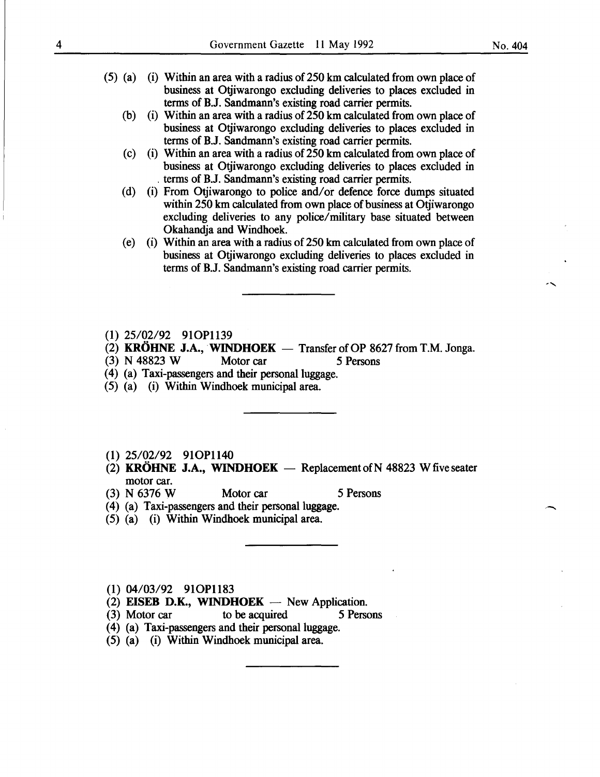- $(5)$  (a) (i) Within an area with a radius of 250 km calculated from own place of business at Otjiwarongo excluding deliveries to places excluded in terms of B.J. Sandmann's existing road carrier permits.
	- (b) (i) Within an area with a radius of  $250 \text{ km}$  calculated from own place of business at Otjiwarongo excluding deliveries to places excluded in terms of B.J. Sandmann's existing road carrier permits.
	- (c) (i) Within an area with a radius of250 km calculated from own place of business at Otjiwarongo excluding deliveries to places excluded in . terms of B.J. Sandmann's existing road carrier permits.
	- (d) (i) From Otjiwarongo to police and/ or defence force dumps situated within 250 km calculated from own place of business at Otiiwarongo excluding deliveries to any police/military base situated between Okahandja and Windhoek.
	- (e) (i) Within an area with a radius of250 km calculated from own place of business at Otjiwarongo excluding deliveries to places excluded in terms of B.J. Sandmann's existing road carrier permits.
- (I) 25/02/92 9IOP1139
- (2) KRÖHNE J.A., WINDHOEK  $-$  Transfer of OP 8627 from T.M. Jonga.
- (3) N 48823 W Motor car 5 Persons
- (4) (a) Taxi-passengers and their personal luggage.
- (5) (a) (i) Within Windhoek municipal area.
- (I) 25/02/92 9IOP1140
- (2) KRÖHNE J.A., WINDHOEK  $-$  Replacement of N 48823 W five seater motor car.
- (3) N 6376 W Motor car 5 Persons
- (4) (a) Taxi-passengers and their personal luggage.
- (5) (a) (i) Within Windhoek municipal area.

(I) 04/03/92 9IOP1183

- (2) EISEB D.K., WINDHOEK  $-$  New Application.
- (3) Motor car to be acquired 5 Persons
- ( 4) (a) Taxi-passengers and their personal luggage.
- (5) (a) (i) Within Windhoek municipal area.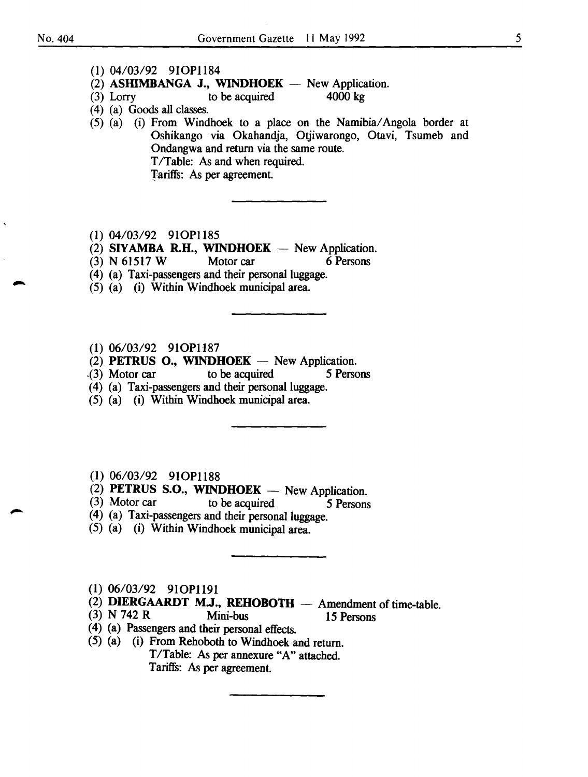- (1) 04/03/92 9IOP1184
- (2) ASHIMBANGA J., WINDHOEK  $-$  New Application.
- (3) Lorry to be acquired  $4000 \text{ kg}$
- ( 4) (a) Goods all classes.
- (5) (a) (i) From Windhoek to a place on the Namibia/ Angola border at Oshikango via Okahandja, Otjiwarongo, Otavi, Tsumeb and Ondangwa and return via the same route. T/Table: As and when required. Tariffs: As per agreement.
- (I) 04/03/92 9IOP1185
- (2) SIYAMBA R.H., WINDHOEK  $-$  New Application.
- (3) N 6I5I7 W Motor car 6 Persons
- (4) (a) Taxi-passengers and their personal luggage.
- (5) (a) (i) Within Windhoek municipal area.
- (I) 06/03/92 9IOP1187
- (2) PETRUS O., WINDHOEK  $-$  New Application.
- . (3) Motor car to be acquired 5 Persons
- (4) (a) Taxi-passengers and their personal luggage.
- (5) (a) (i) Within Windhoek municipal area.
- (I) 06/03/92 9IOP1188
- (2) PETRUS S.O., WINDHOEK  $-$  New Application.
- (3) Motor car to be acquired  $\overline{\phantom{a}}$  5 Persons
- (4) (a) Taxi-passengers and their personal luggage.
- (5) (a) (i) Within Windhoek municipal area.
- (I) 06/03/92 9IOP119I
- $(2)$  DIERGAARDT M.J., REHOBOTH  $-$  Amendment of time-table.
- (3) N 742 R Mini-bus I5 Persons
- ( 4) (a) Passengers and their personal effects.
- (5) (a) (i) From Rehoboth to Windhoek and return.
	- T/Table: As per annexure "A" attached. Tariffs: As per agreement.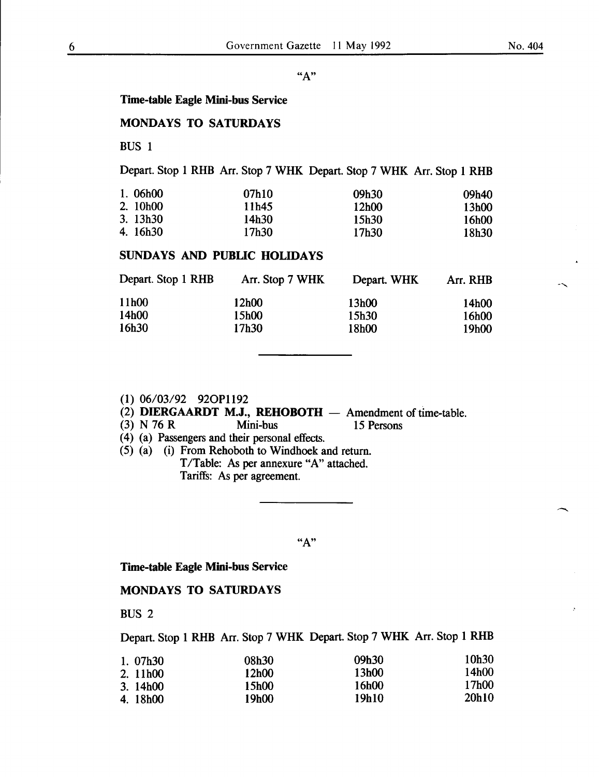$\ddot{\sim}$ 

#### "A"

## Time-table Eagle Mini-bus Service

## MONDAYS TO SATURDAYS

BUS 1

## Depart. Stop 1 RHB Arr. Stop 7 WHK Depart. Stop 7 WHK Arr. Stop 1 RHB

| 1.06h00  | 07h10 | 09h30 | 09h40 |
|----------|-------|-------|-------|
| 2. 10h00 | 11h45 | 12h00 | 13h00 |
| 3.13h30  | 14h30 | 15h30 | 16h00 |
| 4. 16h30 | 17h30 | 17h30 | 18h30 |

## SUNDAYS AND PUBLIC HOLIDAYS

| Depart. Stop 1 RHB | Arr. Stop 7 WHK | Depart. WHK | Arr. RHB |
|--------------------|-----------------|-------------|----------|
| 11h00              | 12h00           | 13h00       | 14h00    |
| 14h00              | 15h00           | 15h30       | 16h00    |
| 16h30              | 17h30           | 18h00       | 19h00    |

#### (1) 06/03/92 920P1192

# (2) **DIERGAARDT M.J., REHOBOTH** - Amendment of time-table.<br>(3) N 76 R Mini-bus 15 Persons

(3) N 76 R Mini-bus 15 Persons

( 4) (a) Passengers and their personal effects.

(5) (a) (i) From Rehoboth to Windhoek and return. T/Table: As per annexure "A" attached. Tariffs: As per agreement.

## "A"

#### Time-table Eagle Mini-bus Service

## MONDAYS TO SATURDAYS

BUS 2

Depart. Stop 1 RHB Arr. Stop 7 WHK Depart. Stop 7 WHK Arr. Stop 1 RHB

| 1.07h30  | 08h30 | 09h30 | 10h30 |
|----------|-------|-------|-------|
| 2. 11h00 | 12h00 | 13h00 | 14h00 |
| 3.14h00  | 15h00 | 16h00 | 17h00 |
| 4.18h00  | 19h00 | 19h10 | 20h10 |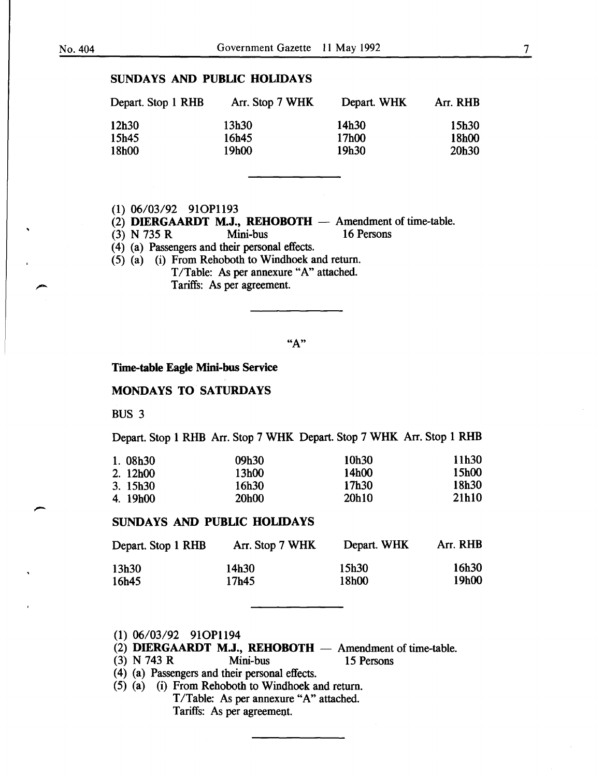## SUNDAYS AND PUBLIC HOLIDAYS

| Depart. Stop 1 RHB | Arr. Stop 7 WHK | Depart. WHK | Arr. RHB |
|--------------------|-----------------|-------------|----------|
| 12h30              | 13h30           | 14h30       | 15h30    |
| 15h45              | 16h45           | 17h00       | 18h00    |
| 18h00              | 19h00           | 19h30       | 20h30    |

#### (1) 06/03/92 910P1193

(2) DIERGAARDT M.J., REHOBOTH - Amendment of time-table.<br>
(3) N 735 R Mini-bus 16 Persons

 $(3)$  N 735 R

( 4) (a) Passengers and their personal effects.

(5) (a) (i) From Rehoboth to Windhoek and return. T/Table: As per annexure "A" attached. Tariffs: As per agreement.

 $"A"$ 

Time-table Eagle Mini-bus Service

## MONDAYS TO SATURDAYS

BUS 3

Depart. Stop 1 RHB Arr. Stop 7 WHK Depart. Stop 7 WHK Arr. Stop 1 RHB

| 1.08h30  | 09h30 | 10h30 | 11h30 |
|----------|-------|-------|-------|
| 2. 12h00 | 13h00 | 14h00 | 15h00 |
| 3.15h30  | 16h30 | 17h30 | 18h30 |
| 4. 19h00 | 20h00 | 20h10 | 21h10 |

## SUNDAYS AND PUBLIC HOLIDAYS

| Depart. Stop 1 RHB | Arr. Stop 7 WHK | Depart. WHK | Arr. RHB |
|--------------------|-----------------|-------------|----------|
| 13h30              | 14h30           | 15h30       | 16h30    |
| 16h45              | 17h45           | 18h00       | 19h00    |

- (1) 06/03/92 910P1194
- (2) **DIERGAARDT M.J., REHOBOTH** Amendment of time-table.<br>
(3) N 743 R Mini-bus 15 Persons
- (3) N 743 R Mini-bus 15 Persons
- ( 4) (a) Passengers and their personal effects.
- (5) (a) (i) From Rehoboth to Windhoek and return. T/Table: As per annexure "A" attached. Tariffs: As per agreement.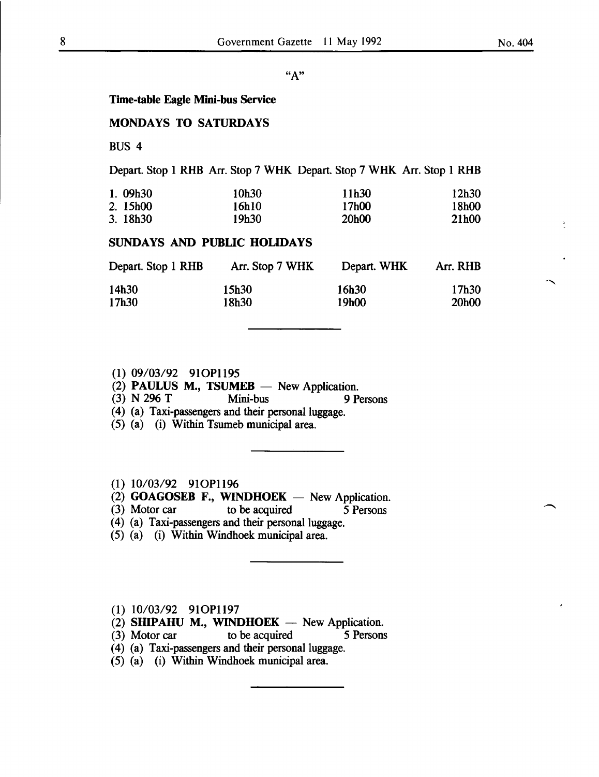--.....

### "A"

#### Time-table Eagle Mini-bus Service

## MONDAYS TO SATURDAYS

BUS 4

#### Depart. Stop 1 RHB Arr. Stop 7 WHK Depart. Stop 7 WHK Arr. Stop 1 RHB

| 1.09h30  | 10h30 | 11h30 | 12h30 |
|----------|-------|-------|-------|
| 2. 15h00 | 16h10 | 17h00 | 18h00 |
| 3.18h30  | 19h30 | 20h00 | 21h00 |

## SUNDAYS AND PUBLIC HOLIDAYS

| Depart. Stop 1 RHB | Arr. Stop 7 WHK | Depart. WHK | Arr. RHB |
|--------------------|-----------------|-------------|----------|
| 14h30              | 15h30           | 16h30       | 17h30    |
| 17h30              | 18h30           | 19h00       | 20h00    |

## (1) 09/03/92 910P1195

(2) PAULUS M., TSUMEB - New Application.<br>
(3) N 296 T Mini-bus 9 P

(3) N 296 T Mini-bus 9 Persons

- ( 4) (a) Taxi-passengers and their personal luggage.
- (5) (a) (i) Within Tsumeb municipal area.

## (1) 10/03/92 910P1196

 $(2)$  GOAGOSEB F., WINDHOEK - New Application.

- (3) Motor car to be acquired *5* Persons
- (4) (a) Taxi-passengers and their personal luggage.
- (5) (a) (i) Within Windhoek municipal area.

## (1) 10/03/92 910P1197

(2) SHIPAHU M., WINDHOEK  $-$  New Application.

(3) Motor car to be acquired 5 Persons

(4) (a) Taxi-passengers and their personal luggage.

(5) (a) (i) Within Windhoek municipal area.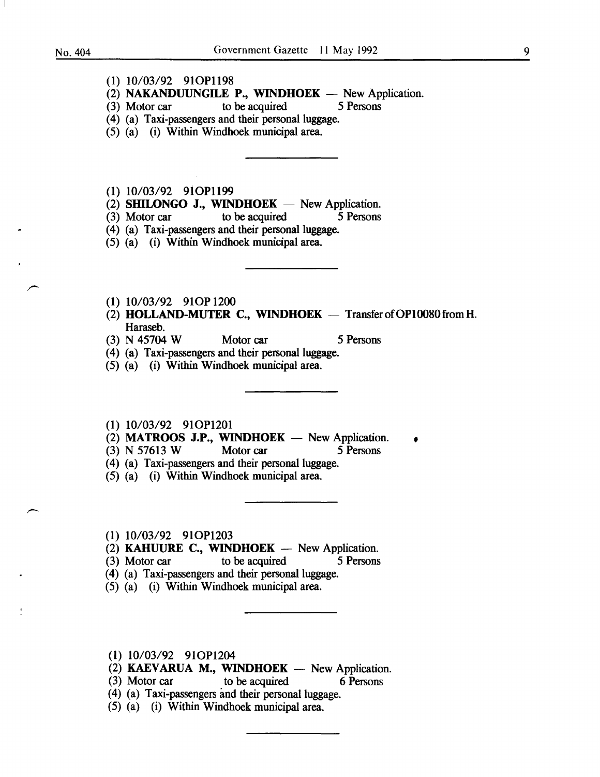- (1) 10/03/92 910P1198
- (2) NAKANDUUNGILE P., WINDHOEK New Application.<br>(3) Motor car to be acquired 5 Persons
- to be acquired
- (4) (a) Taxi-passengers and their personal luggage.
- (5) (a) (i) Within Windhoek municipal area.
- (1) 10/03/92 910P1199
- (2) SHILONGO J., WINDHOEK New Application.<br>
(3) Motor car to be acquired 5 Persons
- to be acquired
- (4) (a) Taxi-passengers and their personal luggage.
- (5) (a) (i) Within Windhoek municipal area.
- (1) 10/03/92 910P 1200
- (2) HOLLAND-MUTER C., WINDHOEK  $-$  Transfer of OP10080 from H. Haraseb.
- (3) N 45704 W Motor car 5 Persons
- (4) (a) Taxi-passengers and their personal luggage.
- (5) (a) (i) Within Windhoek municipal area.
- (1) 10/03/92 910P1201
- $(2)$  **MATROOS J.P., WINDHOEK** New Application.
- (3) N 57613 W Motor car 5 Persons
- (4) (a) Taxi-passengers and their personal luggage.
- (5) (a) (i) Within Windhoek municipal area.
- (1) 10/03/92 910P1203
- (2) **KAHUURE C., WINDHOEK** New Application.<br>(3) Motor car to be acquired 5 Persons
- $(3)$  Motor car
- (4) (a) Taxi-passengers and their personal luggage.
- (5) (a) (i) Within Windhoek municipal area.
- (1) 10/03/92 910P1204
- (2) KAEVARUA M., WINDHOEK  $-$  New Application.
- (3) Motor car to be acquired 6 Persons
- (4) (a) Taxi-passengers and their personal luggage.
- (5) (a) (i) Within Windhoek municipal area.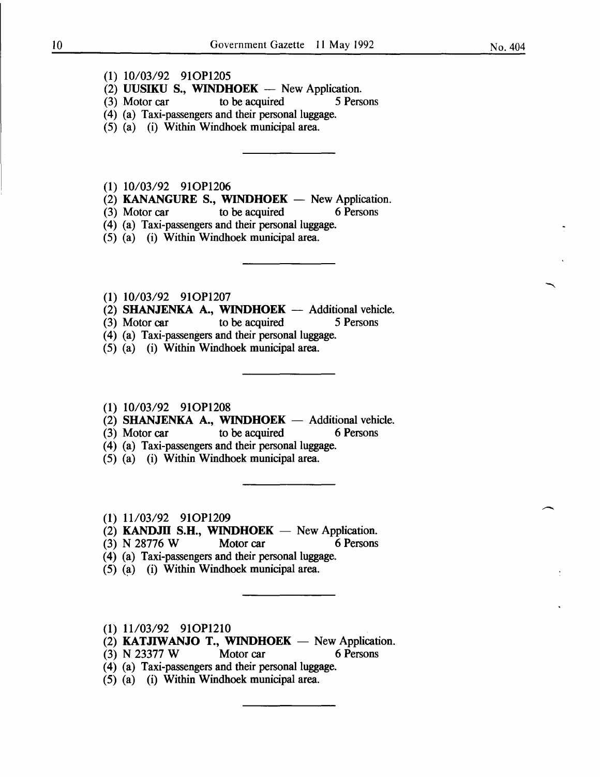- (1) 10/03/92 91OP1205
- (2) UUSIKU S., WINDHOEK New Application.<br>(3) Motor car to be acquired 5 Persons
- $\sim$  to be acquired
- (4) (a) Taxi-passengers and their personal luggage.
- (5) (a) (i) Within Windhoek municipal area.
- (1) 10/03/92 91OP1206
- (2) KANANGURE S., WINDHOEK New Application.<br>(3) Motor car to be acquired 6 Persons
- $(3)$  Motor car to be acquired
- (4) (a) Taxi-passengers and their personal luggage.
- (5) (a) (i) Within Windhoek municipal area.
- (1) 10/03/92 91OP1207
- $(2)$  SHANJENKA A., WINDHOEK Additional vehicle.
- (3) Motor car to be acquired 5 Persons
- (4) (a) Taxi-passengers and their personal luggage.
- (5) (a) (i) Within Windhoek municipal area.

#### $(1)$  10/03/92 91OP1208

- (2) SHANJENKA A., WINDHOEK  $-$  Additional vehicle.
- (3) Motor car to be acquired 6 Persons
- (4) (a) Taxi-passengers and their personal luggage.
- (5) (a) (i) Within Windhoek municipal area.
- (1) 11/03/92 91OP1209
- $(2)$  KANDJII S.H., WINDHOEK New Application.
- (3) N 28776 W Motor car 6 Persons
- (4) (a) Taxi-passengers and their personal luggage.
- $(5)$  (a) (i) Within Windhoek municipal area.
- $(1)$  11/03/92 91OP1210
- (2) **KATJIWANJO T., WINDHOEK** New Application.<br>(3) N 23377 W Motor car 6 Persons
- (3) N 23377 W Motor car
- (4) (a) Taxi-passengers and their personal luggage.
- (5) (a) (i) Within Windhoek municipal area.